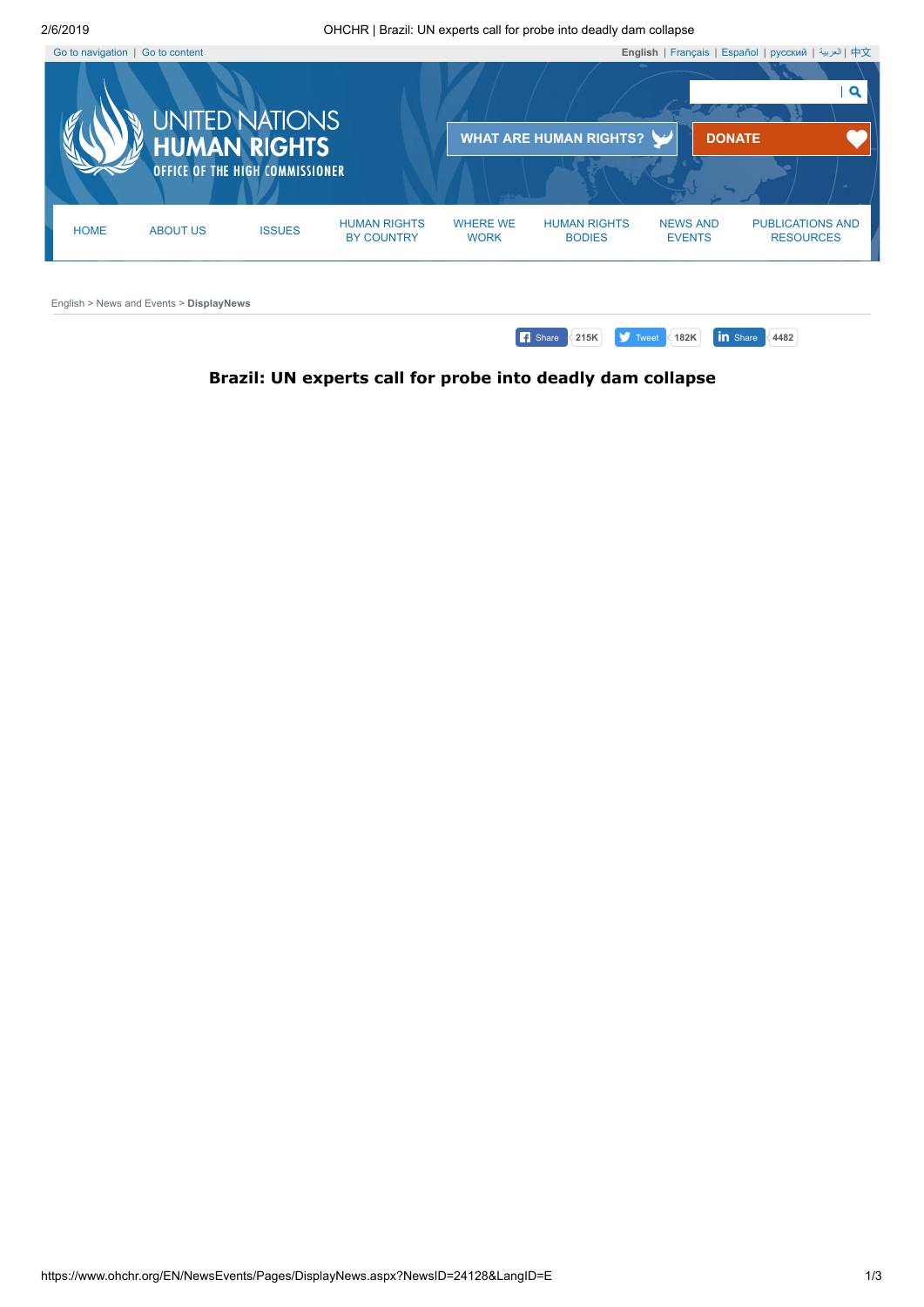<span id="page-0-0"></span>

## <span id="page-0-1"></span>**Brazil: UN experts call for probe into deadly dam collapse**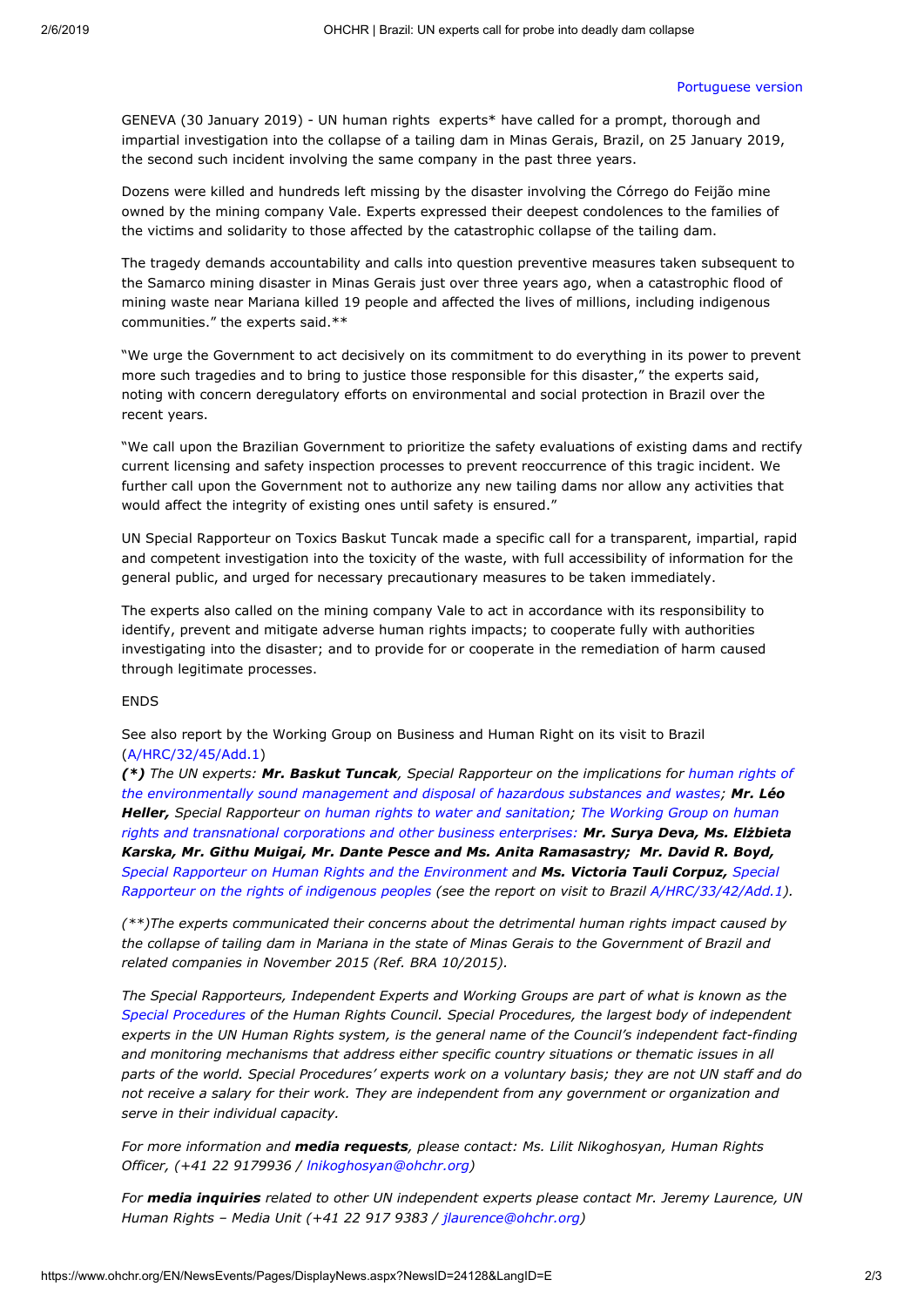## [Portuguese](https://www.ohchr.org/Documents/Issues/Environment/PR_Brazil_January2019.docx) version

GENEVA (30 January 2019) - UN human rights experts\* have called for a prompt, thorough and impartial investigation into the collapse of a tailing dam in Minas Gerais, Brazil, on 25 January 2019, the second such incident involving the same company in the past three years.

Dozens were killed and hundreds left missing by the disaster involving the Córrego do Feijão mine owned by the mining company Vale. Experts expressed their deepest condolences to the families of the victims and solidarity to those affected by the catastrophic collapse of the tailing dam.

The tragedy demands accountability and calls into question preventive measures taken subsequent to the Samarco mining disaster in Minas Gerais just over three years ago, when a catastrophic flood of mining waste near Mariana killed 19 people and affected the lives of millions, including indigenous communities." the experts said.\*\*

"We urge the Government to act decisively on its commitment to do everything in its power to prevent more such tragedies and to bring to justice those responsible for this disaster," the experts said, noting with concern deregulatory efforts on environmental and social protection in Brazil over the recent years.

"We call upon the Brazilian Government to prioritize the safety evaluations of existing dams and rectify current licensing and safety inspection processes to prevent reoccurrence of this tragic incident. We further call upon the Government not to authorize any new tailing dams nor allow any activities that would affect the integrity of existing ones until safety is ensured."

UN Special Rapporteur on Toxics Baskut Tuncak made a specific call for a transparent, impartial, rapid and competent investigation into the toxicity of the waste, with full accessibility of information for the general public, and urged for necessary precautionary measures to be taken immediately.

The experts also called on the mining company Vale to act in accordance with its responsibility to identify, prevent and mitigate adverse human rights impacts; to cooperate fully with authorities investigating into the disaster; and to provide for or cooperate in the remediation of harm caused through legitimate processes.

## ENDS

See also report by the Working Group on Business and Human Right on its visit to Brazil [\(A/HRC/32/45/Add.1](http://ap.ohchr.org/documents/dpage_e.aspx?si=A/HRC/32/45/Add.1))

*(\*) The UN experts: [Mr. Baskut Tuncak](https://www.ohchr.org/EN/Issues/Environment/ToxicWastes/Pages/SRToxicWastesindex.aspx), Special Rapporteur on the implications for human rights of the environmentally sound management and disposal of hazardous substances and wastes; Mr. Léo Heller, Special Rapporteur on human rights to water and [sanitation](https://www.ohchr.org/en/issues/waterandsanitation/srwater/pages/srwaterindex.aspx); The Working Group on human rights and transnational corporations and other business enterprises: [Mr. Surya Deva, Ms. Elżbiet](https://www.ohchr.org/en/issues/Business/Pages/WGHRandtransnationalcorporationsandotherbusiness.aspx)a Karska, Mr. Githu Muigai, Mr. Dante Pesce and Ms. Anita Ramasastry; Mr. David R. Boyd, Special Rapporteur on Human Rights and the [Environment](https://www.ohchr.org/EN/Issues/Environment/SREnvironment/Pages/SRenvironmentIndex.aspx) and [Ms. Victoria Tauli Corpuz,](https://www.ohchr.org/EN/Issues/IPeoples/SRIndigenousPeoples/Pages/SRIPeoplesIndex.aspx) Special Rapporteur on the rights of indigenous peoples (see the report on visit to Brazil [A/HRC/33/42/Add.1](http://ap.ohchr.org/documents/dpage_e.aspx?si=A/HRC/33/42/Add.1)).*

*(\*\*)The experts communicated their concerns about the detrimental human rights impact caused by* the collapse of tailing dam in Mariana in the state of Minas Gerais to the Government of Brazil and *related companies in November 2015 (Ref. BRA 10/2015).*

*The Special Rapporteurs, Independent Experts and Working Groups are part of what is known as the Special [Procedures](http://www.ohchr.org/EN/HRBodies/SP/Pages/Welcomepage.aspx) of the Human Rights Council. Special Procedures, the largest body of independent experts in the UN Human Rights system, is the general name of the Council's independent fact-finding and monitoring mechanisms that address either specific country situations or thematic issues in all* parts of the world. Special Procedures' experts work on a voluntary basis; they are not UN staff and do *not receive a salary for their work. They are independent from any government or organization and serve in their individual capacity.*

*For more information and media requests, please contact: Ms. Lilit Nikoghosyan, Human Rights Officer, (+41 22 9179936 / [lnikoghosyan@ohchr.org](mailto:lnikoghosyan@ohchr.org))*

*For media inquiries related to other UN independent experts please contact Mr. Jeremy Laurence, UN Human Rights – Media Unit (+41 22 917 9383 / [jlaurence@ohchr.org\)](mailto:jlaurence@ohchr.org)*